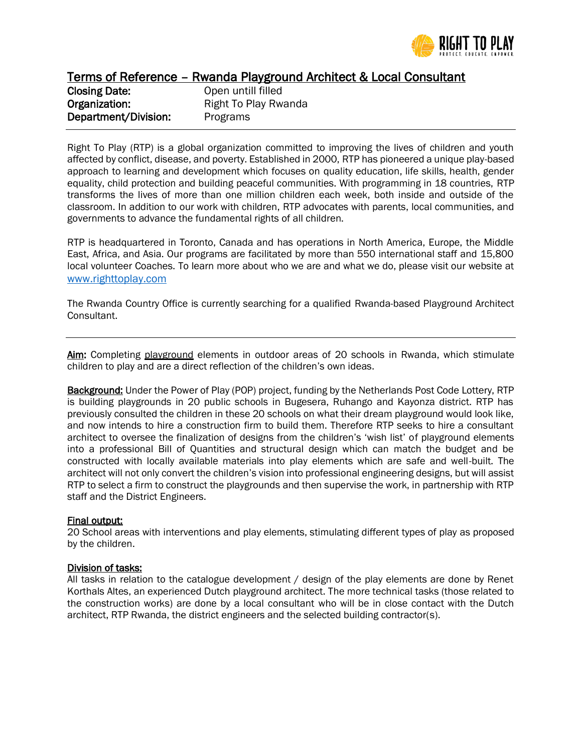

Terms of Reference – Rwanda Playground Architect & Local Consultant

| <b>Closing Date:</b> |  |
|----------------------|--|
| Organization:        |  |
| Department/Division: |  |

Open untill filled Right To Play Rwanda Programs

Right To Play (RTP) is a global organization committed to improving the lives of children and youth affected by conflict, disease, and poverty. Established in 2000, RTP has pioneered a unique play-based approach to learning and development which focuses on quality education, life skills, health, gender equality, child protection and building peaceful communities. With programming in 18 countries, RTP transforms the lives of more than one million children each week, both inside and outside of the classroom. In addition to our work with children, RTP advocates with parents, local communities, and governments to advance the fundamental rights of all children.

RTP is headquartered in Toronto, Canada and has operations in North America, Europe, the Middle East, Africa, and Asia. Our programs are facilitated by more than 550 international staff and 15,800 local volunteer Coaches. To learn more about who we are and what we do, please visit our website at [www.righttoplay.com](http://www.righttoplay.com/)

The Rwanda Country Office is currently searching for a qualified Rwanda-based Playground Architect Consultant.

Aim: Completing playground elements in outdoor areas of 20 schools in Rwanda, which stimulate children to play and are a direct reflection of the children's own ideas.

**Background:** Under the Power of Play (POP) project, funding by the Netherlands Post Code Lottery, RTP is building playgrounds in 20 public schools in Bugesera, Ruhango and Kayonza district. RTP has previously consulted the children in these 20 schools on what their dream playground would look like, and now intends to hire a construction firm to build them. Therefore RTP seeks to hire a consultant architect to oversee the finalization of designs from the children's 'wish list' of playground elements into a professional Bill of Quantities and structural design which can match the budget and be constructed with locally available materials into play elements which are safe and well-built. The architect will not only convert the children's vision into professional engineering designs, but will assist RTP to select a firm to construct the playgrounds and then supervise the work, in partnership with RTP staff and the District Engineers.

## Final output:

20 School areas with interventions and play elements, stimulating different types of play as proposed by the children.

## Division of tasks:

All tasks in relation to the catalogue development / design of the play elements are done by Renet Korthals Altes, an experienced Dutch playground architect. The more technical tasks (those related to the construction works) are done by a local consultant who will be in close contact with the Dutch architect, RTP Rwanda, the district engineers and the selected building contractor(s).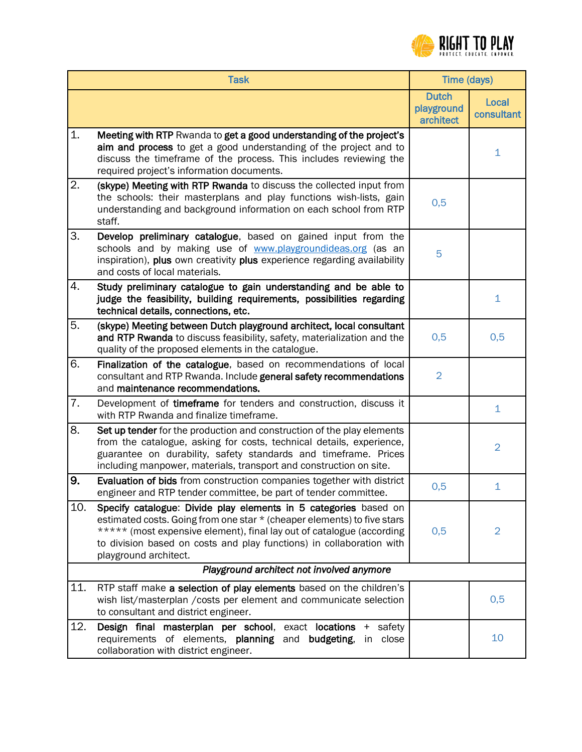

|                                           | <b>Task</b>                                                                                                                                                                                                                                                                                                           | Time (days)                             |                     |  |
|-------------------------------------------|-----------------------------------------------------------------------------------------------------------------------------------------------------------------------------------------------------------------------------------------------------------------------------------------------------------------------|-----------------------------------------|---------------------|--|
|                                           |                                                                                                                                                                                                                                                                                                                       | <b>Dutch</b><br>playground<br>architect | Local<br>consultant |  |
| 1.                                        | Meeting with RTP Rwanda to get a good understanding of the project's<br>aim and process to get a good understanding of the project and to<br>discuss the timeframe of the process. This includes reviewing the<br>required project's information documents.                                                           |                                         | 1                   |  |
| 2.                                        | (skype) Meeting with RTP Rwanda to discuss the collected input from<br>the schools: their masterplans and play functions wish-lists, gain<br>understanding and background information on each school from RTP<br>staff.                                                                                               | 0,5                                     |                     |  |
| 3.                                        | Develop preliminary catalogue, based on gained input from the<br>schools and by making use of www.playgroundideas.org (as an<br>inspiration), plus own creativity plus experience regarding availability<br>and costs of local materials.                                                                             | 5                                       |                     |  |
| 4.                                        | Study preliminary catalogue to gain understanding and be able to<br>judge the feasibility, building requirements, possibilities regarding<br>technical details, connections, etc.                                                                                                                                     |                                         | $\mathbf{1}$        |  |
| 5.                                        | (skype) Meeting between Dutch playground architect, local consultant<br>and RTP Rwanda to discuss feasibility, safety, materialization and the<br>quality of the proposed elements in the catalogue.                                                                                                                  | 0,5                                     | 0,5                 |  |
| 6.                                        | Finalization of the catalogue, based on recommendations of local<br>consultant and RTP Rwanda. Include general safety recommendations<br>and maintenance recommendations.                                                                                                                                             | $\overline{2}$                          |                     |  |
| 7.                                        | Development of timeframe for tenders and construction, discuss it<br>with RTP Rwanda and finalize timeframe.                                                                                                                                                                                                          |                                         | $\mathbf 1$         |  |
| 8.                                        | Set up tender for the production and construction of the play elements<br>from the catalogue, asking for costs, technical details, experience,<br>guarantee on durability, safety standards and timeframe. Prices<br>including manpower, materials, transport and construction on site.                               |                                         | $\overline{2}$      |  |
| 9.                                        | Evaluation of bids from construction companies together with district<br>engineer and RTP tender committee, be part of tender committee.                                                                                                                                                                              | 0,5                                     | $\mathbf{1}$        |  |
| 10.                                       | Specify catalogue: Divide play elements in 5 categories based on<br>estimated costs. Going from one star * (cheaper elements) to five stars<br>***** (most expensive element), final lay out of catalogue (according<br>to division based on costs and play functions) in collaboration with<br>playground architect. | 0,5                                     | $\overline{2}$      |  |
| Playground architect not involved anymore |                                                                                                                                                                                                                                                                                                                       |                                         |                     |  |
| 11.                                       | RTP staff make a selection of play elements based on the children's<br>wish list/masterplan / costs per element and communicate selection<br>to consultant and district engineer.                                                                                                                                     |                                         | 0,5                 |  |
| 12.                                       | Design final masterplan per school, exact locations + safety<br>requirements of elements, planning and budgeting,<br>in close<br>collaboration with district engineer.                                                                                                                                                |                                         | 10                  |  |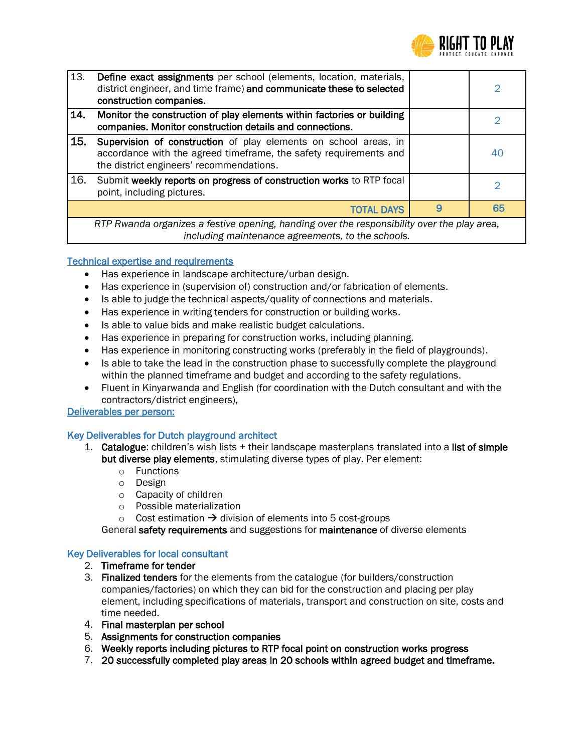

| 13.        | Define exact assignments per school (elements, location, materials,<br>district engineer, and time frame) and communicate these to selected<br>construction companies.            |   | 2  |  |
|------------|-----------------------------------------------------------------------------------------------------------------------------------------------------------------------------------|---|----|--|
| <b>14.</b> | Monitor the construction of play elements within factories or building<br>companies. Monitor construction details and connections.                                                |   |    |  |
| <b>15.</b> | Supervision of construction of play elements on school areas, in<br>accordance with the agreed timeframe, the safety requirements and<br>the district engineers' recommendations. |   | 40 |  |
| 16.        | Submit weekly reports on progress of construction works to RTP focal<br>point, including pictures.                                                                                |   |    |  |
|            | <b>TOTAL DAYS</b>                                                                                                                                                                 | 9 | 65 |  |
|            | RTP Rwanda organizes a festive opening, handing over the responsibility over the play area,<br>including maintenance agreements, to the schools.                                  |   |    |  |

## Technical expertise and requirements

- Has experience in landscape architecture/urban design.
- Has experience in (supervision of) construction and/or fabrication of elements.
- Is able to judge the technical aspects/quality of connections and materials.
- Has experience in writing tenders for construction or building works.
- Is able to value bids and make realistic budget calculations.
- Has experience in preparing for construction works, including planning.
- Has experience in monitoring constructing works (preferably in the field of playgrounds).
- Is able to take the lead in the construction phase to successfully complete the playground within the planned timeframe and budget and according to the safety regulations.
- Fluent in Kinyarwanda and English (for coordination with the Dutch consultant and with the contractors/district engineers),

Deliverables per person:

## Key Deliverables for Dutch playground architect

- 1. **Catalogue:** children's wish lists  $+$  their landscape masterplans translated into a list of simple but diverse play elements, stimulating diverse types of play. Per element:
	- o Functions
	- o Design
	- o Capacity of children
	- o Possible materialization
	- $\circ$  Cost estimation  $\rightarrow$  division of elements into 5 cost-groups

General safety requirements and suggestions for maintenance of diverse elements

## Key Deliverables for local consultant

- 2. Timeframe for tender
- 3. Finalized tenders for the elements from the catalogue (for builders/construction companies/factories) on which they can bid for the construction and placing per play element, including specifications of materials, transport and construction on site, costs and time needed.
- 4. Final masterplan per school
- 5. Assignments for construction companies
- 6. Weekly reports including pictures to RTP focal point on construction works progress
- 7. 20 successfully completed play areas in 20 schools within agreed budget and timeframe.